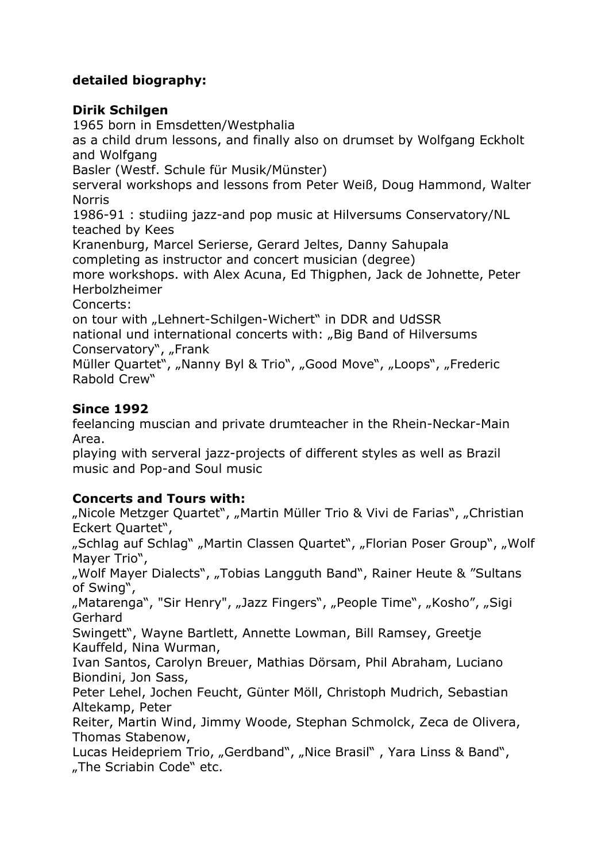# **detailed biography:**

# **Dirik Schilgen**

1965 born in Emsdetten/Westphalia as a child drum lessons, and finally also on drumset by Wolfgang Eckholt and Wolfgang

Basler (Westf. Schule für Musik/Münster)

serveral workshops and lessons from Peter Weiß, Doug Hammond, Walter Norris

1986-91 : studiing jazz-and pop music at Hilversums Conservatory/NL teached by Kees

Kranenburg, Marcel Serierse, Gerard Jeltes, Danny Sahupala completing as instructor and concert musician (degree)

more workshops. with Alex Acuna, Ed Thigphen, Jack de Johnette, Peter Herbolzheimer

Concerts:

on tour with "Lehnert-Schilgen-Wichert" in DDR and UdSSR national und international concerts with: "Big Band of Hilversums Conservatory", "Frank

Müller Quartet", "Nanny Byl & Trio", "Good Move", "Loops", "Frederic Rabold Crew"

# **Since 1992**

feelancing muscian and private drumteacher in the Rhein-Neckar-Main Area.

playing with serveral jazz-projects of different styles as well as Brazil music and Pop-and Soul music

# **Concerts and Tours with:**

"Nicole Metzger Quartet", "Martin Müller Trio & Vivi de Farias", "Christian Eckert Quartet",

"Schlag auf Schlag" "Martin Classen Quartet", "Florian Poser Group", "Wolf Mayer Trio",

"Wolf Mayer Dialects", "Tobias Langguth Band", Rainer Heute & "Sultans of Swing",

"Matarenga", "Sir Henry", "Jazz Fingers", "People Time", "Kosho", "Sigi Gerhard

Swingett", Wayne Bartlett, Annette Lowman, Bill Ramsey, Greetje Kauffeld, Nina Wurman,

Ivan Santos, Carolyn Breuer, Mathias Dörsam, Phil Abraham, Luciano Biondini, Jon Sass,

Peter Lehel, Jochen Feucht, Günter Möll, Christoph Mudrich, Sebastian Altekamp, Peter

Reiter, Martin Wind, Jimmy Woode, Stephan Schmolck, Zeca de Olivera, Thomas Stabenow,

Lucas Heidepriem Trio, "Gerdband", "Nice Brasil", Yara Linss & Band", "The Scriabin Code" etc.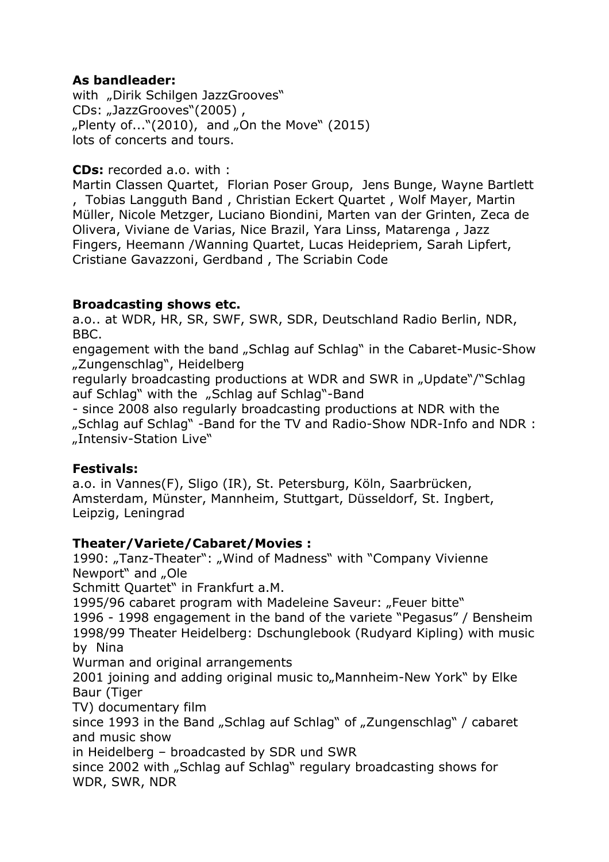### **As bandleader:**

with "Dirik Schilgen JazzGrooves" CDs: "JazzGrooves"(2005),  $n$ Plenty of..."(2010), and  $n$  On the Move" (2015) lots of concerts and tours.

#### **CDs:** recorded a.o. with :

Martin Classen Quartet, Florian Poser Group, Jens Bunge, Wayne Bartlett , Tobias Langguth Band , Christian Eckert Quartet , Wolf Mayer, Martin Müller, Nicole Metzger, Luciano Biondini, Marten van der Grinten, Zeca de Olivera, Viviane de Varias, Nice Brazil, Yara Linss, Matarenga , Jazz Fingers, Heemann /Wanning Quartet, Lucas Heidepriem, Sarah Lipfert, Cristiane Gavazzoni, Gerdband , The Scriabin Code

#### **Broadcasting shows etc.**

a.o.. at WDR, HR, SR, SWF, SWR, SDR, Deutschland Radio Berlin, NDR, BBC.

engagement with the band "Schlag auf Schlag" in the Cabaret-Music-Show "Zungenschlag", Heidelberg

regularly broadcasting productions at WDR and SWR in "Update"/"Schlag auf Schlag" with the "Schlag auf Schlag"-Band

- since 2008 also regularly broadcasting productions at NDR with the "Schlag auf Schlag" -Band for the TV and Radio-Show NDR-Info and NDR : "Intensiv-Station Live"

#### **Festivals:**

a.o. in Vannes(F), Sligo (IR), St. Petersburg, Köln, Saarbrücken, Amsterdam, Münster, Mannheim, Stuttgart, Düsseldorf, St. Ingbert, Leipzig, Leningrad

### **Theater/Variete/Cabaret/Movies :**

1990: "Tanz-Theater": "Wind of Madness" with "Company Vivienne Newport" and "Ole Schmitt Quartet" in Frankfurt a.M. 1995/96 cabaret program with Madeleine Saveur: "Feuer bitte" 1996 - 1998 engagement in the band of the variete "Pegasus" / Bensheim 1998/99 Theater Heidelberg: Dschunglebook (Rudyard Kipling) with music by Nina Wurman and original arrangements 2001 joining and adding original music to, Mannheim-New York" by Elke Baur (Tiger TV) documentary film since 1993 in the Band "Schlag auf Schlag" of "Zungenschlag" / cabaret and music show in Heidelberg – broadcasted by SDR und SWR since 2002 with "Schlag auf Schlag" regulary broadcasting shows for WDR, SWR, NDR